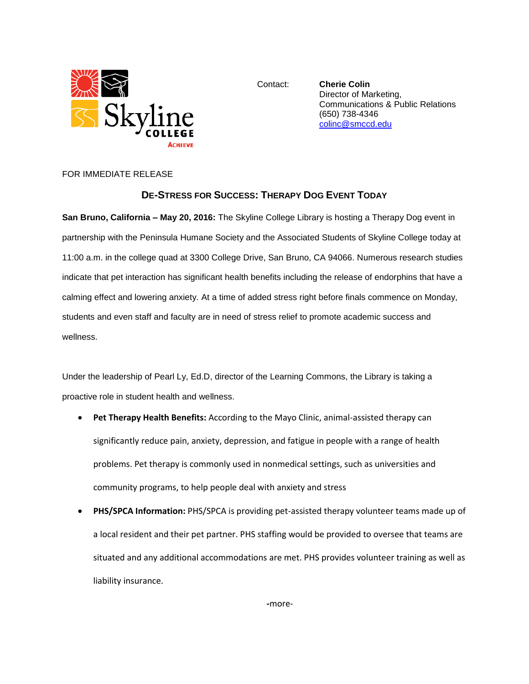

Contact: **Cherie Colin** Director of Marketing, Communications & Public Relations (650) 738-4346 [colinc@smccd.edu](mailto:colinc@smccd.edu)

## FOR IMMEDIATE RELEASE

## **DE-STRESS FOR SUCCESS: THERAPY DOG EVENT TODAY**

**San Bruno, California – May 20, 2016:** The Skyline College Library is hosting a Therapy Dog event in partnership with the Peninsula Humane Society and the Associated Students of Skyline College today at 11:00 a.m. in the college quad at 3300 College Drive, San Bruno, CA 94066. Numerous research studies indicate that pet interaction has significant health benefits including the release of endorphins that have a calming effect and lowering anxiety. At a time of added stress right before finals commence on Monday, students and even staff and faculty are in need of stress relief to promote academic success and wellness.

Under the leadership of Pearl Ly, Ed.D, director of the Learning Commons, the Library is taking a proactive role in student health and wellness.

- **Pet Therapy Health Benefits:** According to the Mayo Clinic, animal-assisted therapy can significantly reduce pain, anxiety, depression, and fatigue in people with a range of health problems. Pet therapy is commonly used in nonmedical settings, such as universities and community programs, to help people deal with anxiety and stress
- **PHS/SPCA Information:** PHS/SPCA is providing pet-assisted therapy volunteer teams made up of a local resident and their pet partner. PHS staffing would be provided to oversee that teams are situated and any additional accommodations are met. PHS provides volunteer training as well as liability insurance.